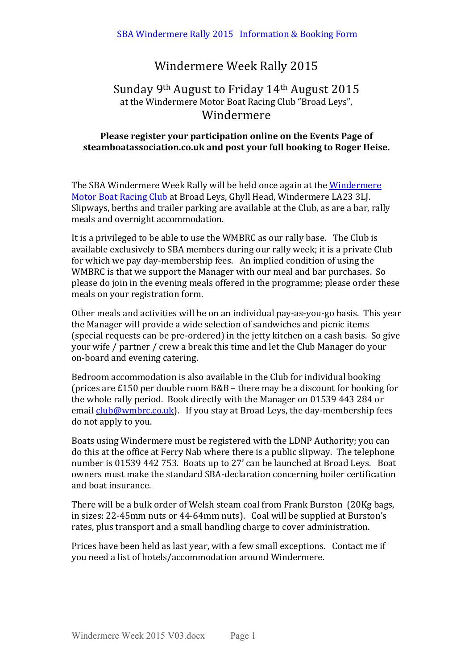# Windermere Week Rally 2015

## Sunday 9<sup>th</sup> August to Friday  $14<sup>th</sup>$  August 2015 at the Windermere Motor Boat Racing Club "Broad Leys", Windermere

### **Please register your participation online on the Events Page of** steamboatassociation.co.uk and post vour full booking to Roger Heise.

The SBA Windermere Week Rally will be held once again at the Windermere Motor Boat Racing Club at Broad Leys, Ghyll Head, Windermere LA23 3LJ. Slipways, berths and trailer parking are available at the Club, as are a bar, rally meals and overnight accommodation.

It is a privileged to be able to use the WMBRC as our rally base. The Club is available exclusively to SBA members during our rally week; it is a private Club for which we pay day-membership fees. An implied condition of using the WMBRC is that we support the Manager with our meal and bar purchases. So please do join in the evening meals offered in the programme; please order these meals on your registration form.

Other meals and activities will be on an individual pay-as-you-go basis. This year the Manager will provide a wide selection of sandwiches and picnic items (special requests can be pre-ordered) in the jetty kitchen on a cash basis. So give your wife / partner / crew a break this time and let the Club Manager do your on-board and evening catering.

Bedroom accommodation is also available in the Club for individual booking (prices are £150 per double room  $B&B$  – there may be a discount for booking for the whole rally period. Book directly with the Manager on 01539 443 284 or email *club@wmbrc.co.uk*). If you stay at Broad Leys, the day-membership fees do not apply to you.

Boats using Windermere must be registered with the LDNP Authority; you can do this at the office at Ferry Nab where there is a public slipway. The telephone number is 01539 442 753. Boats up to 27' can be launched at Broad Leys. Boat owners must make the standard SBA-declaration concerning boiler certification and boat insurance.

There will be a bulk order of Welsh steam coal from Frank Burston (20Kg bags, in sizes: 22-45mm nuts or 44-64mm nuts). Coal will be supplied at Burston's rates, plus transport and a small handling charge to cover administration.

Prices have been held as last year, with a few small exceptions. Contact me if you need a list of hotels/accommodation around Windermere.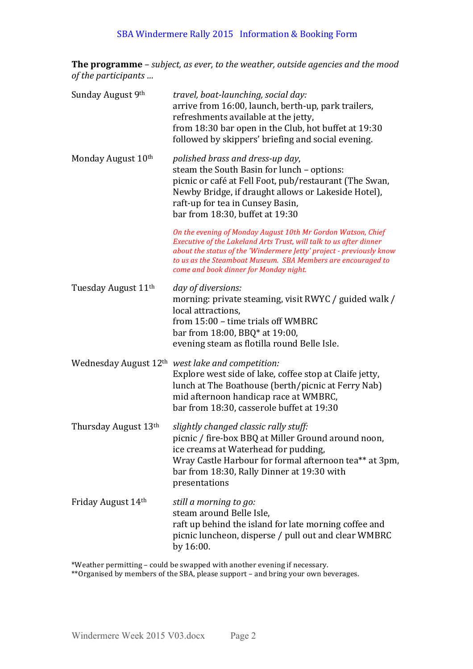## SBA Windermere Rally 2015 Information & Booking Form

**The programme** – *subject, as ever, to the weather, outside agencies and the mood of the participants ...* 

| Sunday August 9th               | travel, boat-launching, social day:<br>arrive from 16:00, launch, berth-up, park trailers,<br>refreshments available at the jetty,<br>from 18:30 bar open in the Club, hot buffet at 19:30<br>followed by skippers' briefing and social evening.                                                                     |
|---------------------------------|----------------------------------------------------------------------------------------------------------------------------------------------------------------------------------------------------------------------------------------------------------------------------------------------------------------------|
| Monday August 10th              | polished brass and dress-up day,<br>steam the South Basin for lunch - options:<br>picnic or café at Fell Foot, pub/restaurant (The Swan,<br>Newby Bridge, if draught allows or Lakeside Hotel),<br>raft-up for tea in Cunsey Basin,<br>bar from 18:30, buffet at 19:30                                               |
|                                 | On the evening of Monday August 10th Mr Gordon Watson, Chief<br>Executive of the Lakeland Arts Trust, will talk to us after dinner<br>about the status of the 'Windermere Jetty' project - previously know<br>to us as the Steamboat Museum. SBA Members are encouraged to<br>come and book dinner for Monday night. |
| Tuesday August 11 <sup>th</sup> | day of diversions:<br>morning: private steaming, visit RWYC / guided walk /<br>local attractions.<br>from 15:00 - time trials off WMBRC<br>bar from 18:00, BBQ* at 19:00,<br>evening steam as flotilla round Belle Isle.                                                                                             |
|                                 | Wednesday August 12 <sup>th</sup> west lake and competition:<br>Explore west side of lake, coffee stop at Claife jetty,<br>lunch at The Boathouse (berth/picnic at Ferry Nab)<br>mid afternoon handicap race at WMBRC,<br>bar from 18:30, casserole buffet at 19:30                                                  |
| Thursday August 13th            | slightly changed classic rally stuff:<br>picnic / fire-box BBQ at Miller Ground around noon,<br>ice creams at Waterhead for pudding,<br>Wray Castle Harbour for formal afternoon tea** at 3pm,<br>bar from 18:30, Rally Dinner at 19:30 with<br>presentations                                                        |
| Friday August 14th              | still a morning to go:<br>steam around Belle Isle,<br>raft up behind the island for late morning coffee and<br>picnic luncheon, disperse / pull out and clear WMBRC<br>by 16:00.                                                                                                                                     |

\*Weather permitting - could be swapped with another evening if necessary.

\*\*Organised by members of the SBA, please support - and bring your own beverages.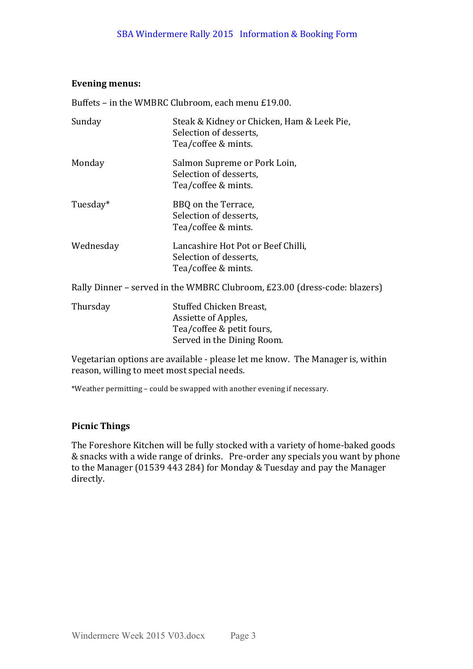#### Evening menus:

Buffets – in the WMBRC Clubroom, each menu  $£19.00$ .

| Sunday    | Steak & Kidney or Chicken, Ham & Leek Pie,<br>Selection of desserts,<br>Tea/coffee & mints. |
|-----------|---------------------------------------------------------------------------------------------|
| Monday    | Salmon Supreme or Pork Loin,<br>Selection of desserts,<br>Tea/coffee & mints.               |
| Tuesday*  | BBQ on the Terrace,<br>Selection of desserts,<br>Tea/coffee & mints.                        |
| Wednesday | Lancashire Hot Pot or Beef Chilli,<br>Selection of desserts,<br>Tea/coffee & mints.         |
|           | Rally Dinner - served in the WMBRC Clubroom, £23.00 (dress-code: blazers)                   |
| Thursday  | Stuffed Chicken Breast,<br>Assiette of Apples,                                              |

Vegetarian options are available - please let me know. The Manager is, within reason, willing to meet most special needs.

Tea/coffee & petit fours, Served in the Dining Room.

\*Weather permitting - could be swapped with another evening if necessary.

#### **Picnic Things**

The Foreshore Kitchen will be fully stocked with a variety of home-baked goods & snacks with a wide range of drinks. Pre-order any specials you want by phone to the Manager (01539 443 284) for Monday & Tuesday and pay the Manager directly.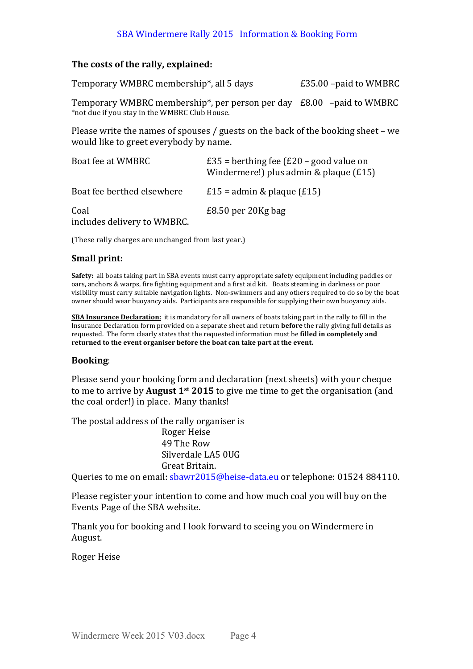### SBA Windermere Rally 2015 Information & Booking Form

#### The costs of the rally, explained:

Temporary WMBRC membership<sup>\*</sup>, all 5 days E35,00 –paid to WMBRC

Temporary WMBRC membership<sup>\*</sup>, per person per day  $E8.00 -$  paid to WMBRC \*not due if you stay in the WMBRC Club House.

Please write the names of spouses / guests on the back of the booking sheet – we would like to greet everybody by name.

| Boat fee at WMBRC                   | $£35 =$ berthing fee ( $£20 -$ good value on<br>Windermere!) plus admin & plaque (£15) |
|-------------------------------------|----------------------------------------------------------------------------------------|
| Boat fee berthed elsewhere          | $£15 =$ admin & plaque (£15)                                                           |
| Coal<br>includes delivery to WMBRC. | $£8.50$ per 20Kg bag                                                                   |

(These rally charges are unchanged from last year.)

#### **Small print:**

**Safety:** all boats taking part in SBA events must carry appropriate safety equipment including paddles or oars, anchors & warps, fire fighting equipment and a first aid kit. Boats steaming in darkness or poor visibility must carry suitable navigation lights. Non-swimmers and any others required to do so by the boat owner should wear buoyancy aids. Participants are responsible for supplying their own buoyancy aids.

**SBA Insurance Declaration:** it is mandatory for all owners of boats taking part in the rally to fill in the Insurance Declaration form provided on a separate sheet and return **before** the rally giving full details as requested. The form clearly states that the requested information must be **filled in completely and** returned to the event organiser before the boat can take part at the event.

#### **Booking**:

Please send your booking form and declaration (next sheets) with your cheque to me to arrive by **August 1**<sup>st</sup> 2015 to give me time to get the organisation (and the coal order!) in place. Many thanks!

The postal address of the rally organiser is

Roger Heise 49 The Row Silverdale LA5 0UG Great Britain.

Queries to me on email:  $\frac{\text{bawr2015@heise-data.eu}}{\text{bewerdata.eu}}$  or telephone: 01524 884110.

Please register your intention to come and how much coal you will buy on the Events Page of the SBA website.

Thank you for booking and I look forward to seeing you on Windermere in August.

Roger Heise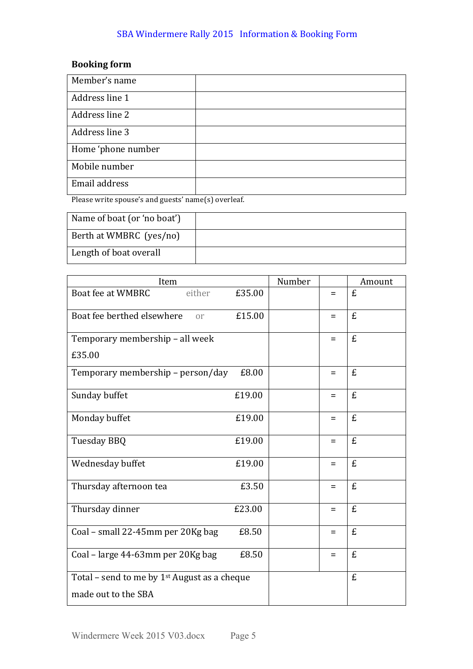## SBA Windermere Rally 2015 Information & Booking Form

## **Booking** form

| Member's name      |  |
|--------------------|--|
| Address line 1     |  |
| Address line 2     |  |
| Address line 3     |  |
| Home 'phone number |  |
| Mobile number      |  |
| Email address      |  |

Please write spouse's and guests' name(s) overleaf.

| Name of boat (or 'no boat') |  |
|-----------------------------|--|
| Berth at WMBRC (yes/no)     |  |
| Length of boat overall      |  |

| Item                                           |        | Number |     | Amount |
|------------------------------------------------|--------|--------|-----|--------|
| Boat fee at WMBRC<br>either                    | £35.00 |        | $=$ | £      |
| Boat fee berthed elsewhere<br><sub>or</sub>    | £15.00 |        | $=$ | £      |
| Temporary membership - all week                |        |        | $=$ | £      |
| £35.00                                         |        |        |     |        |
| Temporary membership - person/day              | £8.00  |        | $=$ | £      |
| Sunday buffet                                  | £19.00 |        | $=$ | £      |
| Monday buffet                                  | £19.00 |        | $=$ | £      |
| Tuesday BBQ                                    | £19.00 |        | $=$ | £      |
| Wednesday buffet                               | £19.00 |        | $=$ | £      |
| Thursday afternoon tea                         | £3.50  |        | $=$ | £      |
| Thursday dinner                                | £23.00 |        | $=$ | £      |
| Coal - small 22-45mm per 20Kg bag              | £8.50  |        | $=$ | £      |
| Coal - large 44-63mm per 20Kg bag              | £8.50  |        | $=$ | £      |
| Total – send to me by $1st$ August as a cheque |        |        |     | £      |
| made out to the SBA                            |        |        |     |        |